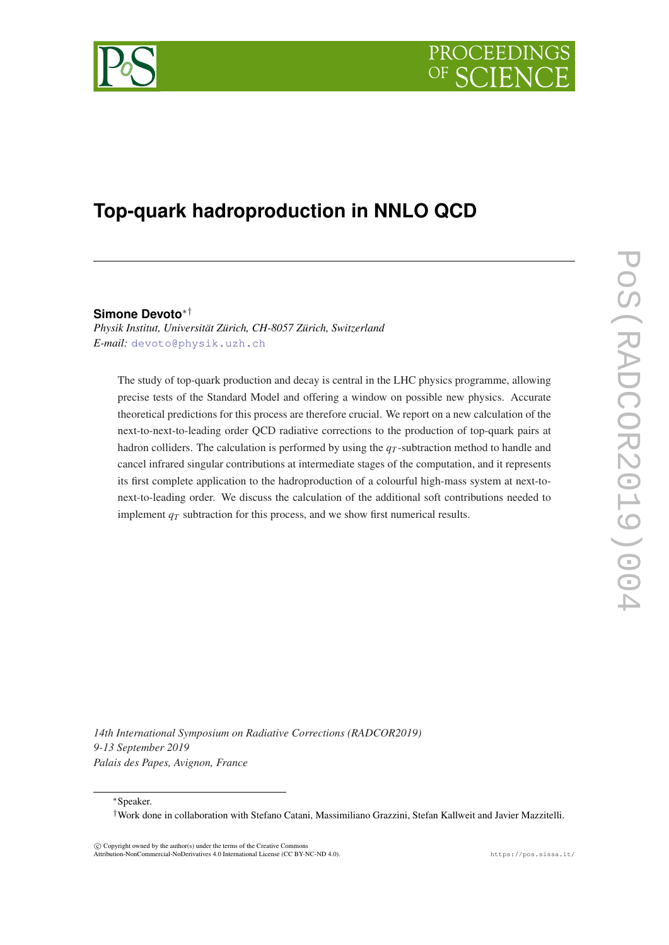



# **Top-quark hadroproduction in NNLO QCD**

### **Simone Devoto**∗†

*Physik Institut, Universität Zürich, CH-8057 Zürich, Switzerland E-mail:* [devoto@physik.uzh.ch](mailto:devoto@physik.uzh.ch)

The study of top-quark production and decay is central in the LHC physics programme, allowing precise tests of the Standard Model and offering a window on possible new physics. Accurate theoretical predictions for this process are therefore crucial. We report on a new calculation of the next-to-next-to-leading order QCD radiative corrections to the production of top-quark pairs at hadron colliders. The calculation is performed by using the *q<sup>T</sup>* -subtraction method to handle and cancel infrared singular contributions at intermediate stages of the computation, and it represents its first complete application to the hadroproduction of a colourful high-mass system at next-tonext-to-leading order. We discuss the calculation of the additional soft contributions needed to implement  $q<sub>T</sub>$  subtraction for this process, and we show first numerical results.

*14th International Symposium on Radiative Corrections (RADCOR2019) 9-13 September 2019 Palais des Papes, Avignon, France*

<sup>∗</sup>Speaker.

†Work done in collaboration with Stefano Catani, Massimiliano Grazzini, Stefan Kallweit and Javier Mazzitelli.

 $\overline{c}$  Copyright owned by the author(s) under the terms of the Creative Common Attribution-NonCommercial-NoDerivatives 4.0 International License (CC BY-NC-ND 4.0). https://pos.sissa.it/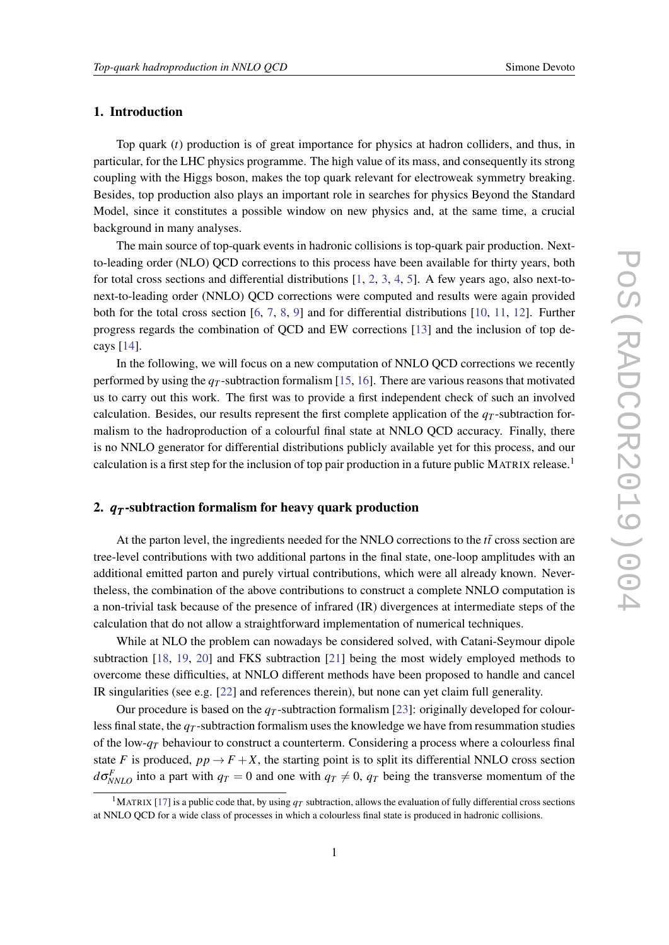### 1. Introduction

Top quark (*t*) production is of great importance for physics at hadron colliders, and thus, in particular, for the LHC physics programme. The high value of its mass, and consequently its strong coupling with the Higgs boson, makes the top quark relevant for electroweak symmetry breaking. Besides, top production also plays an important role in searches for physics Beyond the Standard Model, since it constitutes a possible window on new physics and, at the same time, a crucial background in many analyses.

The main source of top-quark events in hadronic collisions is top-quark pair production. Nextto-leading order (NLO) QCD corrections to this process have been available for thirty years, both for total cross sections and differential distributions  $[1, 2, 3, 4, 5]$  $[1, 2, 3, 4, 5]$  $[1, 2, 3, 4, 5]$  $[1, 2, 3, 4, 5]$  $[1, 2, 3, 4, 5]$  $[1, 2, 3, 4, 5]$  $[1, 2, 3, 4, 5]$  $[1, 2, 3, 4, 5]$  $[1, 2, 3, 4, 5]$  $[1, 2, 3, 4, 5]$ . A few years ago, also next-tonext-to-leading order (NNLO) QCD corrections were computed and results were again provided both for the total cross section [\[6,](#page-7-0) [7](#page-7-0), [8](#page-7-0), [9\]](#page-7-0) and for differential distributions [[10](#page-7-0), [11,](#page-7-0) [12\]](#page-7-0). Further progress regards the combination of QCD and EW corrections [[13\]](#page-7-0) and the inclusion of top decays [\[14\]](#page-7-0).

In the following, we will focus on a new computation of NNLO QCD corrections we recently performed by using the  $q<sub>T</sub>$ -subtraction formalism [[15,](#page-7-0) [16\]](#page-8-0). There are various reasons that motivated us to carry out this work. The first was to provide a first independent check of such an involved calculation. Besides, our results represent the first complete application of the  $q<sub>T</sub>$ -subtraction formalism to the hadroproduction of a colourful final state at NNLO QCD accuracy. Finally, there is no NNLO generator for differential distributions publicly available yet for this process, and our calculation is a first step for the inclusion of top pair production in a future public MATRIX release.<sup>1</sup>

# 2. *q<sup>T</sup>* -subtraction formalism for heavy quark production

At the parton level, the ingredients needed for the NNLO corrections to the  $t\bar{t}$  cross section are tree-level contributions with two additional partons in the final state, one-loop amplitudes with an additional emitted parton and purely virtual contributions, which were all already known. Nevertheless, the combination of the above contributions to construct a complete NNLO computation is a non-trivial task because of the presence of infrared (IR) divergences at intermediate steps of the calculation that do not allow a straightforward implementation of numerical techniques.

While at NLO the problem can nowadays be considered solved, with Catani-Seymour dipole subtraction [\[18](#page-8-0), [19,](#page-8-0) [20\]](#page-8-0) and FKS subtraction [[21\]](#page-8-0) being the most widely employed methods to overcome these difficulties, at NNLO different methods have been proposed to handle and cancel IR singularities (see e.g. [\[22](#page-8-0)] and references therein), but none can yet claim full generality.

Our procedure is based on the  $q<sub>T</sub>$ -subtraction formalism [[23\]](#page-8-0): originally developed for colourless final state, the  $q<sub>T</sub>$ -subtraction formalism uses the knowledge we have from resummation studies of the low- $q<sub>T</sub>$  behaviour to construct a counterterm. Considering a process where a colourless final state *F* is produced,  $pp \rightarrow F + X$ , the starting point is to split its differential NNLO cross section  $d\sigma_{NNLO}^F$  into a part with  $q_T = 0$  and one with  $q_T \neq 0$ ,  $q_T$  being the transverse momentum of the

<sup>&</sup>lt;sup>1</sup>MATRIX [\[17](#page-8-0)] is a public code that, by using  $q<sub>T</sub>$  subtraction, allows the evaluation of fully differential cross sections at NNLO QCD for a wide class of processes in which a colourless final state is produced in hadronic collisions.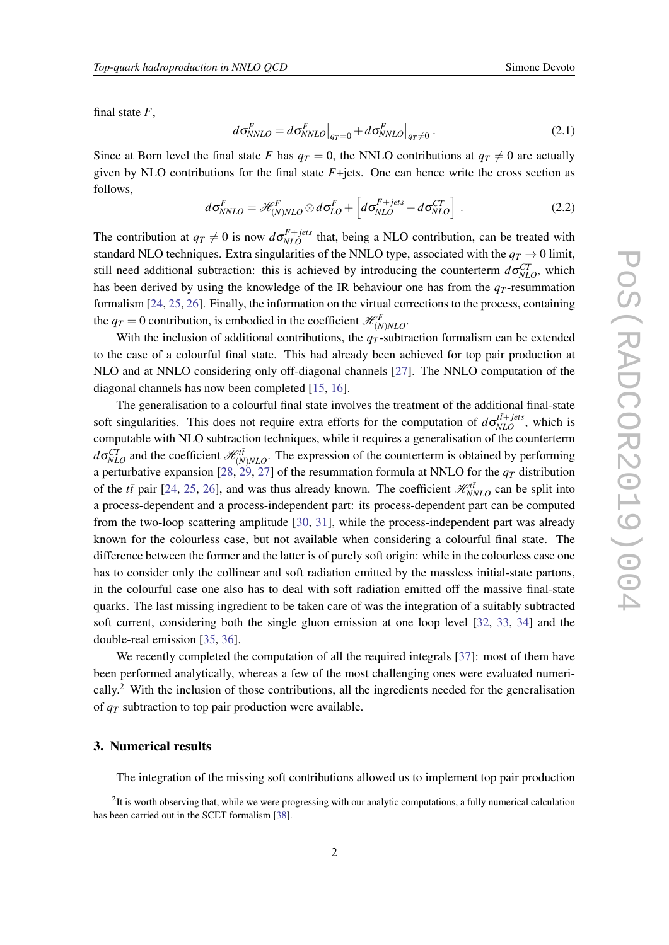<span id="page-2-0"></span>final state *F*,

$$
d\sigma_{NNLO}^F = d\sigma_{NNLO}^F|_{q_T=0} + d\sigma_{NNLO}^F|_{q_T\neq 0}.
$$
\n(2.1)

Since at Born level the final state *F* has  $q_T = 0$ , the NNLO contributions at  $q_T \neq 0$  are actually given by NLO contributions for the final state  $F+$ jets. One can hence write the cross section as follows,

$$
d\sigma_{NNLO}^F = \mathcal{H}_{(N)NLO}^F \otimes d\sigma_{LO}^F + \left[ d\sigma_{NLO}^{F+jets} - d\sigma_{NLO}^{CT} \right]. \qquad (2.2)
$$

The contribution at  $q_T \neq 0$  is now  $d\sigma_{NLO}^{F+jets}$  that, being a NLO contribution, can be treated with standard NLO techniques. Extra singularities of the NNLO type, associated with the  $q_T \rightarrow 0$  limit, still need additional subtraction: this is achieved by introducing the counterterm  $d\sigma_{NLO}^{CT}$ , which has been derived by using the knowledge of the IR behaviour one has from the  $q<sub>T</sub>$ -resummation formalism [\[24](#page-8-0), [25,](#page-8-0) [26\]](#page-8-0). Finally, the information on the virtual corrections to the process, containing the  $q_T = 0$  contribution, is embodied in the coefficient  $\mathcal{H}_{(N)NLO}^F$ .

With the inclusion of additional contributions, the  $q<sub>T</sub>$ -subtraction formalism can be extended to the case of a colourful final state. This had already been achieved for top pair production at NLO and at NNLO considering only off-diagonal channels [[27\]](#page-8-0). The NNLO computation of the diagonal channels has now been completed [\[15](#page-7-0), [16](#page-8-0)].

The generalisation to a colourful final state involves the treatment of the additional final-state soft singularities. This does not require extra efforts for the computation of  $d\sigma_{NLO}^{t\bar{t}+jets}$ , which is computable with NLO subtraction techniques, while it requires a generalisation of the counterterm  $d\sigma_{NLO}^{CT}$  and the coefficient  $\mathcal{H}_{(N)NLO}^{CT}$ . The expression of the counterterm is obtained by performing a perturbative expansion [[28,](#page-8-0) [29,](#page-8-0) [27](#page-8-0)] of the resummation formula at NNLO for the *q<sup>T</sup>* distribution of the  $t\bar{t}$  pair [[24,](#page-8-0) [25,](#page-8-0) [26\]](#page-8-0), and was thus already known. The coefficient  $\mathcal{H}_{NNLO}^{t\bar{t}}$  can be split into a process-dependent and a process-independent part: its process-dependent part can be computed from the two-loop scattering amplitude [[30,](#page-8-0) [31\]](#page-8-0), while the process-independent part was already known for the colourless case, but not available when considering a colourful final state. The difference between the former and the latter is of purely soft origin: while in the colourless case one has to consider only the collinear and soft radiation emitted by the massless initial-state partons, in the colourful case one also has to deal with soft radiation emitted off the massive final-state quarks. The last missing ingredient to be taken care of was the integration of a suitably subtracted soft current, considering both the single gluon emission at one loop level [\[32](#page-8-0), [33](#page-8-0), [34\]](#page-8-0) and the double-real emission [[35,](#page-8-0) [36](#page-9-0)].

We recently completed the computation of all the required integrals [\[37](#page-9-0)]: most of them have been performed analytically, whereas a few of the most challenging ones were evaluated numerically.<sup>2</sup> With the inclusion of those contributions, all the ingredients needed for the generalisation of *q<sup>T</sup>* subtraction to top pair production were available.

#### 3. Numerical results

The integration of the missing soft contributions allowed us to implement top pair production

 ${}^{2}$ It is worth observing that, while we were progressing with our analytic computations, a fully numerical calculation has been carried out in the SCET formalism [\[38](#page-9-0)].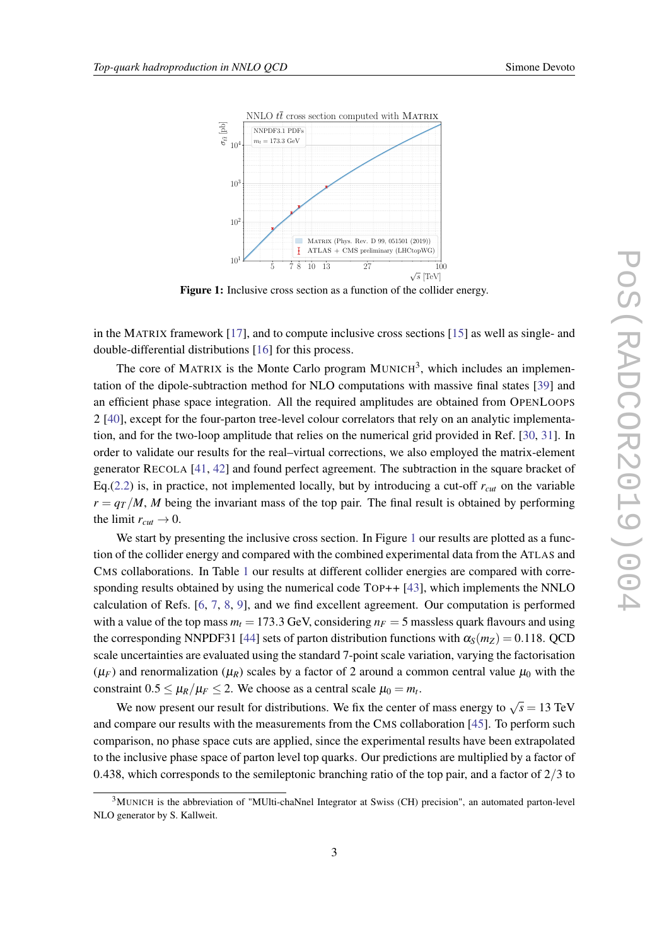



Figure 1: Inclusive cross section as a function of the collider energy.

in the MATRIX framework [\[17](#page-8-0)], and to compute inclusive cross sections [\[15](#page-7-0)] as well as single- and double-differential distributions [\[16](#page-8-0)] for this process.

The core of MATRIX is the Monte Carlo program MUNICH<sup>3</sup>, which includes an implementation of the dipole-subtraction method for NLO computations with massive final states [\[39](#page-9-0)] and an efficient phase space integration. All the required amplitudes are obtained from OPENLOOPS 2 [[40\]](#page-9-0), except for the four-parton tree-level colour correlators that rely on an analytic implementation, and for the two-loop amplitude that relies on the numerical grid provided in Ref. [\[30](#page-8-0), [31\]](#page-8-0). In order to validate our results for the real–virtual corrections, we also employed the matrix-element generator RECOLA [\[41](#page-9-0), [42\]](#page-9-0) and found perfect agreement. The subtraction in the square bracket of Eq.([2.2](#page-2-0)) is, in practice, not implemented locally, but by introducing a cut-off  $r_{cut}$  on the variable  $r = \frac{qT}{M}$ , *M* being the invariant mass of the top pair. The final result is obtained by performing the limit  $r_{cut} \rightarrow 0$ .

We start by presenting the inclusive cross section. In Figure 1 our results are plotted as a function of the collider energy and compared with the combined experimental data from the ATLAS and CMS collaborations. In Table [1](#page-4-0) our results at different collider energies are compared with corre-sponding results obtained by using the numerical code TOP++ [\[43](#page-9-0)], which implements the NNLO calculation of Refs. [[6](#page-7-0), [7,](#page-7-0) [8](#page-7-0), [9\]](#page-7-0), and we find excellent agreement. Our computation is performed with a value of the top mass  $m_t = 173.3$  GeV, considering  $n_F = 5$  massless quark flavours and using the corresponding NNPDF31 [[44\]](#page-9-0) sets of parton distribution functions with  $\alpha_s(m_Z) = 0.118$ . QCD scale uncertainties are evaluated using the standard 7-point scale variation, varying the factorisation  $(\mu_F)$  and renormalization  $(\mu_R)$  scales by a factor of 2 around a common central value  $\mu_0$  with the constraint  $0.5 \leq \mu_R/\mu_F \leq 2$ . We choose as a central scale  $\mu_0 = m_t$ .

We now present our result for distributions. We fix the center of mass energy to  $\sqrt{s} = 13$  TeV and compare our results with the measurements from the CMS collaboration [[45\]](#page-9-0). To perform such comparison, no phase space cuts are applied, since the experimental results have been extrapolated to the inclusive phase space of parton level top quarks. Our predictions are multiplied by a factor of 0.438, which corresponds to the semileptonic branching ratio of the top pair, and a factor of  $2/3$  to

<sup>&</sup>lt;sup>3</sup>MUNICH is the abbreviation of "MUlti-chaNnel Integrator at Swiss (CH) precision", an automated parton-level NLO generator by S. Kallweit.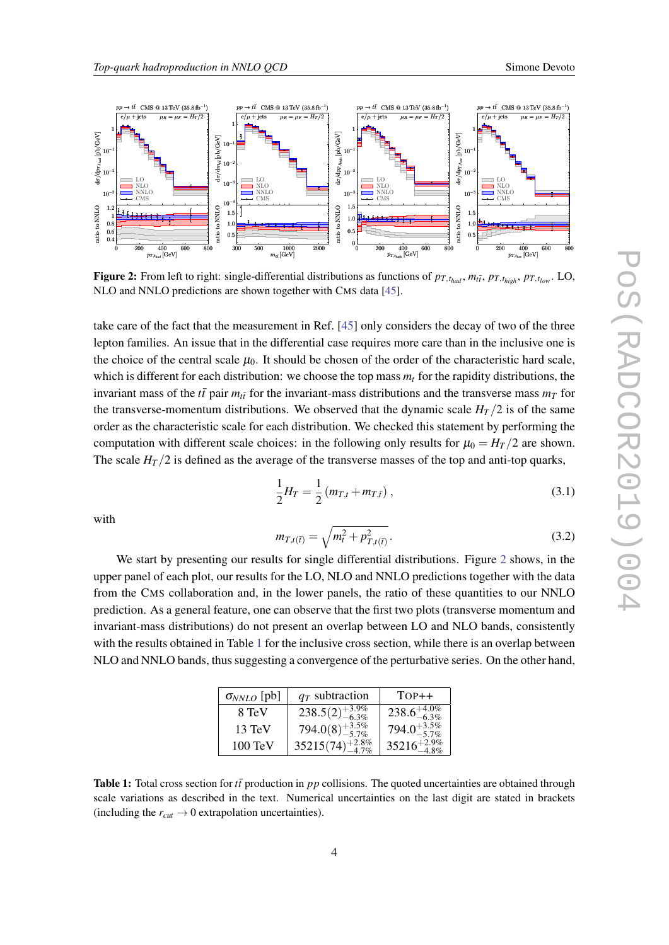<span id="page-4-0"></span>

Figure 2: From left to right: single-differential distributions as functions of  $p_{T,t_{had}}$ ,  $m_{t\bar{t}}$ ,  $p_{T,t_{high}}$ ,  $p_{T,t_{low}}$ . LO, NLO and NNLO predictions are shown together with CMS data [[45\]](#page-9-0).

take care of the fact that the measurement in Ref. [[45\]](#page-9-0) only considers the decay of two of the three lepton families. An issue that in the differential case requires more care than in the inclusive one is the choice of the central scale  $\mu_0$ . It should be chosen of the order of the characteristic hard scale, which is different for each distribution: we choose the top mass *m<sup>t</sup>* for the rapidity distributions, the invariant mass of the  $t\bar{t}$  pair  $m_{t\bar{t}}$  for the invariant-mass distributions and the transverse mass  $m_{\bar{T}}$  for the transverse-momentum distributions. We observed that the dynamic scale  $H_T/2$  is of the same order as the characteristic scale for each distribution. We checked this statement by performing the computation with different scale choices: in the following only results for  $\mu_0 = H_T/2$  are shown. The scale  $H_T/2$  is defined as the average of the transverse masses of the top and anti-top quarks,

$$
\frac{1}{2}H_T = \frac{1}{2}(m_{T,t} + m_{T,\bar{t}}),
$$
\n(3.1)

with

$$
m_{T,t(\bar{t})} = \sqrt{m_t^2 + p_{T,t(\bar{t})}^2}.
$$
\n(3.2)

We start by presenting our results for single differential distributions. Figure 2 shows, in the upper panel of each plot, our results for the LO, NLO and NNLO predictions together with the data from the CMS collaboration and, in the lower panels, the ratio of these quantities to our NNLO prediction. As a general feature, one can observe that the first two plots (transverse momentum and invariant-mass distributions) do not present an overlap between LO and NLO bands, consistently with the results obtained in Table 1 for the inclusive cross section, while there is an overlap between NLO and NNLO bands, thus suggesting a convergence of the perturbative series. On the other hand,

| $\sigma_{NNLO}$ [pb] | $q_T$ subtraction             | $TOP++$                              |
|----------------------|-------------------------------|--------------------------------------|
| 8 TeV                | $238.5(2)_{-6.3\%}^{+3.9\%}$  | $\overline{238.6}^{+4.0\%}_{-6.3\%}$ |
| $13 \text{ TeV}$     | $794.0(8)^{+3.5\%}_{-5.7\%}$  | 794.0 <sup>+3.5%</sup>               |
| $100 \text{ TeV}$    | $35215(74)_{-4.7\%}^{+2.8\%}$ | $35216^{+2.9\%}_{-4.8\%}$            |

Table 1: Total cross section for *tt*<sup> $\bar{t}$ </sup> production in *pp* collisions. The quoted uncertainties are obtained through scale variations as described in the text. Numerical uncertainties on the last digit are stated in brackets (including the  $r_{cut} \rightarrow 0$  extrapolation uncertainties).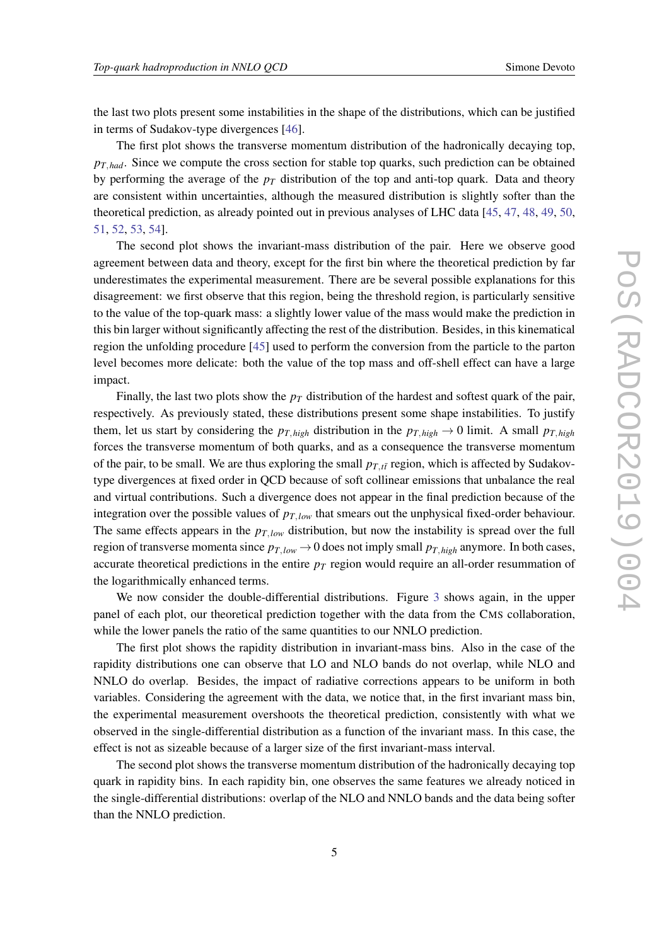the last two plots present some instabilities in the shape of the distributions, which can be justified in terms of Sudakov-type divergences [\[46](#page-9-0)].

The first plot shows the transverse momentum distribution of the hadronically decaying top, *pT*,*had*. Since we compute the cross section for stable top quarks, such prediction can be obtained by performing the average of the  $p<sub>T</sub>$  distribution of the top and anti-top quark. Data and theory are consistent within uncertainties, although the measured distribution is slightly softer than the theoretical prediction, as already pointed out in previous analyses of LHC data [[45,](#page-9-0) [47](#page-9-0), [48](#page-9-0), [49,](#page-9-0) [50](#page-9-0), [51](#page-9-0), [52,](#page-9-0) [53,](#page-9-0) [54](#page-9-0)].

The second plot shows the invariant-mass distribution of the pair. Here we observe good agreement between data and theory, except for the first bin where the theoretical prediction by far underestimates the experimental measurement. There are be several possible explanations for this disagreement: we first observe that this region, being the threshold region, is particularly sensitive to the value of the top-quark mass: a slightly lower value of the mass would make the prediction in this bin larger without significantly affecting the rest of the distribution. Besides, in this kinematical region the unfolding procedure [\[45](#page-9-0)] used to perform the conversion from the particle to the parton level becomes more delicate: both the value of the top mass and off-shell effect can have a large impact.

Finally, the last two plots show the  $p<sub>T</sub>$  distribution of the hardest and softest quark of the pair, respectively. As previously stated, these distributions present some shape instabilities. To justify them, let us start by considering the  $p_{T,high}$  distribution in the  $p_{T,high} \rightarrow 0$  limit. A small  $p_{T,high}$ forces the transverse momentum of both quarks, and as a consequence the transverse momentum of the pair, to be small. We are thus exploring the small  $p_{T,t\bar{t}}$  region, which is affected by Sudakovtype divergences at fixed order in QCD because of soft collinear emissions that unbalance the real and virtual contributions. Such a divergence does not appear in the final prediction because of the integration over the possible values of *pT*,*low* that smears out the unphysical fixed-order behaviour. The same effects appears in the  $p_{T,low}$  distribution, but now the instability is spread over the full region of transverse momenta since  $p_{T,low} \rightarrow 0$  does not imply small  $p_{T,high}$  anymore. In both cases, accurate theoretical predictions in the entire  $p<sub>T</sub>$  region would require an all-order resummation of the logarithmically enhanced terms.

We now consider the double-differential distributions. Figure [3](#page-6-0) shows again, in the upper panel of each plot, our theoretical prediction together with the data from the CMS collaboration, while the lower panels the ratio of the same quantities to our NNLO prediction.

The first plot shows the rapidity distribution in invariant-mass bins. Also in the case of the rapidity distributions one can observe that LO and NLO bands do not overlap, while NLO and NNLO do overlap. Besides, the impact of radiative corrections appears to be uniform in both variables. Considering the agreement with the data, we notice that, in the first invariant mass bin, the experimental measurement overshoots the theoretical prediction, consistently with what we observed in the single-differential distribution as a function of the invariant mass. In this case, the effect is not as sizeable because of a larger size of the first invariant-mass interval.

The second plot shows the transverse momentum distribution of the hadronically decaying top quark in rapidity bins. In each rapidity bin, one observes the same features we already noticed in the single-differential distributions: overlap of the NLO and NNLO bands and the data being softer than the NNLO prediction.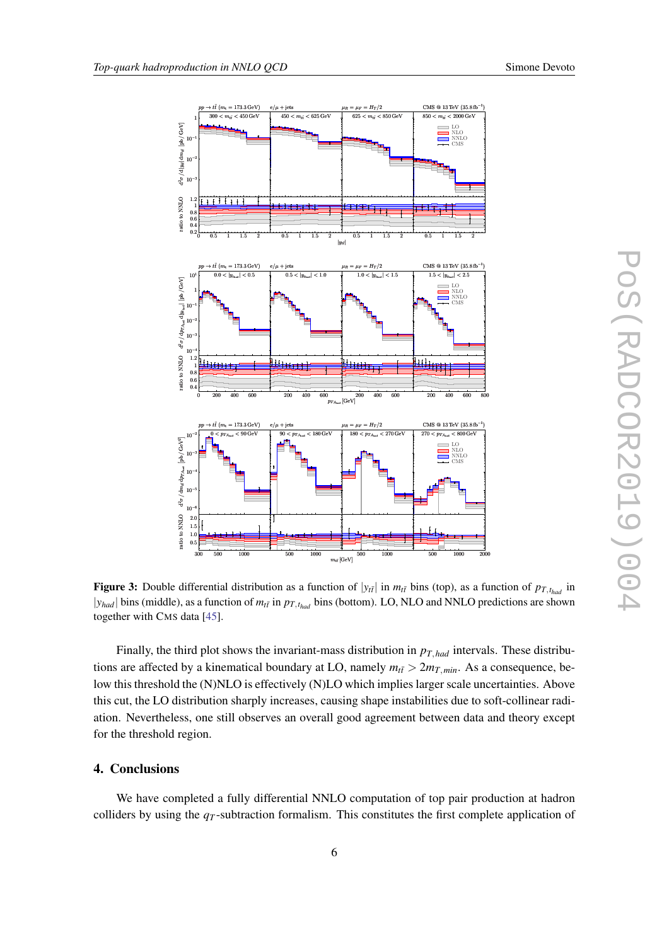

<span id="page-6-0"></span>

Figure 3: Double differential distribution as a function of  $|y_{t\bar{t}}|$  in  $m_{t\bar{t}}$  bins (top), as a function of  $p_{T,t_{had}}$  in  $|y_{had}|$  bins (middle), as a function of  $m_{t\bar{t}}$  in  $p_{T,t_{had}}$  bins (bottom). LO, NLO and NNLO predictions are shown together with CMS data [\[45](#page-9-0)].

Finally, the third plot shows the invariant-mass distribution in *pT*,*had* intervals. These distributions are affected by a kinematical boundary at LO, namely  $m_{t\bar{t}} > 2m_{T,min}$ . As a consequence, below this threshold the (N)NLO is effectively (N)LO which implies larger scale uncertainties. Above this cut, the LO distribution sharply increases, causing shape instabilities due to soft-collinear radiation. Nevertheless, one still observes an overall good agreement between data and theory except for the threshold region.

## 4. Conclusions

We have completed a fully differential NNLO computation of top pair production at hadron colliders by using the *q<sup>T</sup>* -subtraction formalism. This constitutes the first complete application of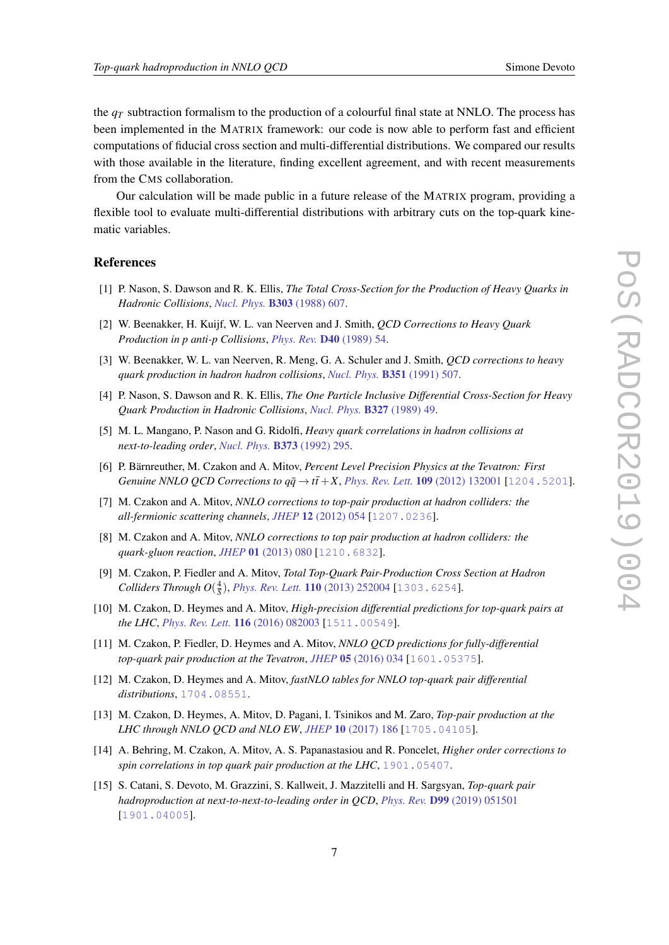<span id="page-7-0"></span>the  $q<sub>T</sub>$  subtraction formalism to the production of a colourful final state at NNLO. The process has been implemented in the MATRIX framework: our code is now able to perform fast and efficient computations of fiducial cross section and multi-differential distributions. We compared our results with those available in the literature, finding excellent agreement, and with recent measurements from the CMS collaboration.

Our calculation will be made public in a future release of the MATRIX program, providing a flexible tool to evaluate multi-differential distributions with arbitrary cuts on the top-quark kinematic variables.

### References

- [1] P. Nason, S. Dawson and R. K. Ellis, *The Total Cross-Section for the Production of Heavy Quarks in Hadronic Collisions*, *[Nucl. Phys.](https://doi.org/10.1016/0550-3213(88)90422-1)* B303 (1988) 607.
- [2] W. Beenakker, H. Kuijf, W. L. van Neerven and J. Smith, *QCD Corrections to Heavy Quark Production in p anti-p Collisions*, *[Phys. Rev.](https://doi.org/10.1103/PhysRevD.40.54)* D40 (1989) 54.
- [3] W. Beenakker, W. L. van Neerven, R. Meng, G. A. Schuler and J. Smith, *QCD corrections to heavy quark production in hadron hadron collisions*, *[Nucl. Phys.](https://doi.org/10.1016/S0550-3213(05)80032-X)* B351 (1991) 507.
- [4] P. Nason, S. Dawson and R. K. Ellis, *The One Particle Inclusive Differential Cross-Section for Heavy Quark Production in Hadronic Collisions*, *[Nucl. Phys.](https://doi.org/10.1016/0550-3213(90)90180-L, 10.1016/0550-3213(89)90286-1)* B327 (1989) 49.
- [5] M. L. Mangano, P. Nason and G. Ridolfi, *Heavy quark correlations in hadron collisions at next-to-leading order*, *[Nucl. Phys.](https://doi.org/10.1016/0550-3213(92)90435-E)* B373 (1992) 295.
- [6] P. Bärnreuther, M. Czakon and A. Mitov, *Percent Level Precision Physics at the Tevatron: First Genuine NNLO QCD Corrections to*  $q\bar{q} \to t\bar{t} + X$ *, [Phys. Rev. Lett.](https://doi.org/10.1103/PhysRevLett.109.132001)* **109** (2012) 132001 [[1204.5201](https://arxiv.org/abs/1204.5201)].
- [7] M. Czakon and A. Mitov, *NNLO corrections to top-pair production at hadron colliders: the all-fermionic scattering channels*, *JHEP* 12 [\(2012\) 054](https://doi.org/10.1007/JHEP12(2012)054) [[1207.0236](https://arxiv.org/abs/1207.0236)].
- [8] M. Czakon and A. Mitov, *NNLO corrections to top pair production at hadron colliders: the quark-gluon reaction*, *JHEP* 01 [\(2013\) 080](https://doi.org/10.1007/JHEP01(2013)080) [[1210.6832](https://arxiv.org/abs/1210.6832)].
- [9] M. Czakon, P. Fiedler and A. Mitov, *Total Top-Quark Pair-Production Cross Section at Hadron Colliders Through*  $O(\frac{4}{5})$ *, <i>[Phys. Rev. Lett.](https://doi.org/10.1103/PhysRevLett.110.252004)* **110** (2013) 252004 [[1303.6254](https://arxiv.org/abs/1303.6254)].
- [10] M. Czakon, D. Heymes and A. Mitov, *High-precision differential predictions for top-quark pairs at the LHC*, *[Phys. Rev. Lett.](https://doi.org/10.1103/PhysRevLett.116.082003)* 116 (2016) 082003 [[1511.00549](https://arxiv.org/abs/1511.00549)].
- [11] M. Czakon, P. Fiedler, D. Heymes and A. Mitov, *NNLO QCD predictions for fully-differential top-quark pair production at the Tevatron*, *JHEP* 05 [\(2016\) 034](https://doi.org/10.1007/JHEP05(2016)034) [[1601.05375](https://arxiv.org/abs/1601.05375)].
- [12] M. Czakon, D. Heymes and A. Mitov, *fastNLO tables for NNLO top-quark pair differential distributions*, [1704.08551](https://arxiv.org/abs/1704.08551).
- [13] M. Czakon, D. Heymes, A. Mitov, D. Pagani, I. Tsinikos and M. Zaro, *Top-pair production at the LHC through NNLO QCD and NLO EW*, *JHEP* 10 [\(2017\) 186](https://doi.org/10.1007/JHEP10(2017)186) [[1705.04105](https://arxiv.org/abs/1705.04105)].
- [14] A. Behring, M. Czakon, A. Mitov, A. S. Papanastasiou and R. Poncelet, *Higher order corrections to spin correlations in top quark pair production at the LHC*, [1901.05407](https://arxiv.org/abs/1901.05407).
- [15] S. Catani, S. Devoto, M. Grazzini, S. Kallweit, J. Mazzitelli and H. Sargsyan, *Top-quark pair hadroproduction at next-to-next-to-leading order in QCD*, *Phys. Rev.* D99 [\(2019\) 051501](https://doi.org/10.1103/PhysRevD.99.051501) [[1901.04005](https://arxiv.org/abs/1901.04005)].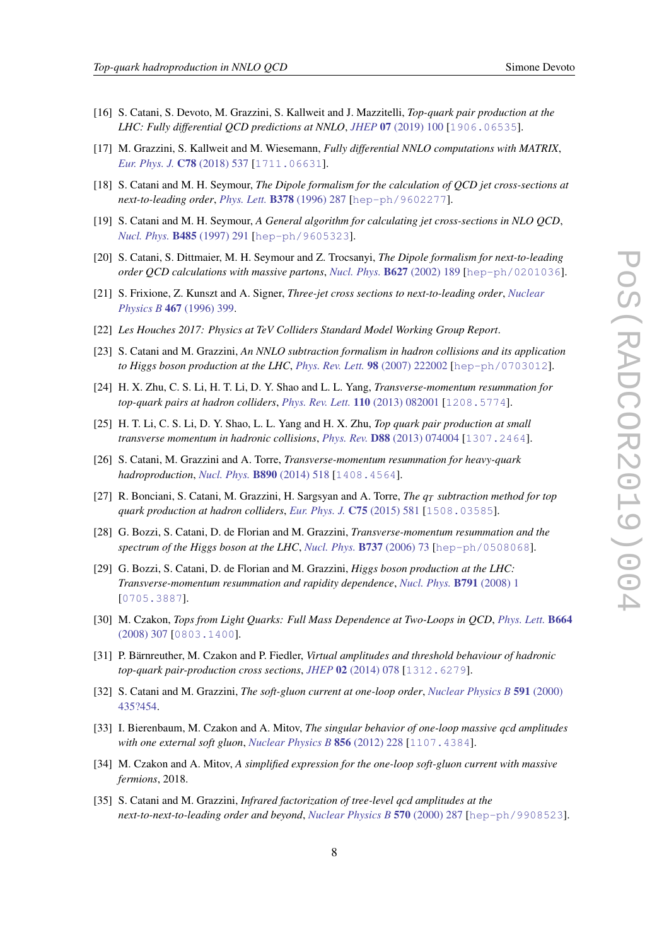- 
- <span id="page-8-0"></span>[16] S. Catani, S. Devoto, M. Grazzini, S. Kallweit and J. Mazzitelli, *Top-quark pair production at the LHC: Fully differential QCD predictions at NNLO*, *JHEP* 07 [\(2019\) 100](https://doi.org/10.1007/JHEP07(2019)100) [[1906.06535](https://arxiv.org/abs/1906.06535)].
- [17] M. Grazzini, S. Kallweit and M. Wiesemann, *Fully differential NNLO computations with MATRIX*, *[Eur. Phys. J.](https://doi.org/10.1140/epjc/s10052-018-5771-7) C78 (2018) 537 [[1711.06631](https://arxiv.org/abs/1711.06631)].*
- [18] S. Catani and M. H. Seymour, *The Dipole formalism for the calculation of QCD jet cross-sections at next-to-leading order*, *Phys. Lett.* B378 [\(1996\) 287](https://doi.org/10.1016/0370-2693(96)00425-X) [[hep-ph/9602277](https://arxiv.org/abs/hep-ph/9602277)].
- [19] S. Catani and M. H. Seymour, *A General algorithm for calculating jet cross-sections in NLO QCD*, *[Nucl. Phys.](https://doi.org/10.1016/S0550-3213(96)00589-5, 10.1016/S0550-3213(98)81022-5)* B485 (1997) 291 [[hep-ph/9605323](https://arxiv.org/abs/hep-ph/9605323)].
- [20] S. Catani, S. Dittmaier, M. H. Seymour and Z. Trocsanyi, *The Dipole formalism for next-to-leading order QCD calculations with massive partons*, *[Nucl. Phys.](https://doi.org/10.1016/S0550-3213(02)00098-6)* B627 (2002) 189 [[hep-ph/0201036](https://arxiv.org/abs/hep-ph/0201036)].
- [21] S. Frixione, Z. Kunszt and A. Signer, *Three-jet cross sections to next-to-leading order*, *[Nuclear](https://doi.org/10.1016/0550-3213(96)00110-1) Physics B* 467 [\(1996\) 399](https://doi.org/10.1016/0550-3213(96)00110-1).
- [22] *Les Houches 2017: Physics at TeV Colliders Standard Model Working Group Report*.
- [23] S. Catani and M. Grazzini, *An NNLO subtraction formalism in hadron collisions and its application to Higgs boson production at the LHC*, *[Phys. Rev. Lett.](https://doi.org/10.1103/PhysRevLett.98.222002)* 98 (2007) 222002 [[hep-ph/0703012](https://arxiv.org/abs/hep-ph/0703012)].
- [24] H. X. Zhu, C. S. Li, H. T. Li, D. Y. Shao and L. L. Yang, *Transverse-momentum resummation for top-quark pairs at hadron colliders*, *[Phys. Rev. Lett.](https://doi.org/10.1103/PhysRevLett.110.082001)* 110 (2013) 082001 [[1208.5774](https://arxiv.org/abs/1208.5774)].
- [25] H. T. Li, C. S. Li, D. Y. Shao, L. L. Yang and H. X. Zhu, *Top quark pair production at small transverse momentum in hadronic collisions*, *Phys. Rev.* D88 [\(2013\) 074004](https://doi.org/10.1103/PhysRevD.88.074004) [[1307.2464](https://arxiv.org/abs/1307.2464)].
- [26] S. Catani, M. Grazzini and A. Torre, *Transverse-momentum resummation for heavy-quark hadroproduction*, *[Nucl. Phys.](https://doi.org/10.1016/j.nuclphysb.2014.11.019)* B890 (2014) 518 [[1408.4564](https://arxiv.org/abs/1408.4564)].
- [27] R. Bonciani, S. Catani, M. Grazzini, H. Sargsyan and A. Torre, *The q<sup>T</sup> subtraction method for top quark production at hadron colliders*, *[Eur. Phys. J.](https://doi.org/10.1140/epjc/s10052-015-3793-y)* C75 (2015) 581 [[1508.03585](https://arxiv.org/abs/1508.03585)].
- [28] G. Bozzi, S. Catani, D. de Florian and M. Grazzini, *Transverse-momentum resummation and the spectrum of the Higgs boson at the LHC*, *[Nucl. Phys.](https://doi.org/10.1016/j.nuclphysb.2005.12.022)* B737 (2006) 73 [[hep-ph/0508068](https://arxiv.org/abs/hep-ph/0508068)].
- [29] G. Bozzi, S. Catani, D. de Florian and M. Grazzini, *Higgs boson production at the LHC: Transverse-momentum resummation and rapidity dependence*, *[Nucl. Phys.](https://doi.org/10.1016/j.nuclphysb.2007.09.034)* B791 (2008) 1 [[0705.3887](https://arxiv.org/abs/0705.3887)].
- [30] M. Czakon, *Tops from Light Quarks: Full Mass Dependence at Two-Loops in QCD*, *[Phys. Lett.](https://doi.org/10.1016/j.physletb.2008.05.028)* B664 [\(2008\) 307](https://doi.org/10.1016/j.physletb.2008.05.028) [[0803.1400](https://arxiv.org/abs/0803.1400)].
- [31] P. Bärnreuther, M. Czakon and P. Fiedler, *Virtual amplitudes and threshold behaviour of hadronic top-quark pair-production cross sections*, *JHEP* 02 [\(2014\) 078](https://doi.org/10.1007/JHEP02(2014)078) [[1312.6279](https://arxiv.org/abs/1312.6279)].
- [32] S. Catani and M. Grazzini, *The soft-gluon current at one-loop order*, *[Nuclear Physics B](https://doi.org/10.1016/s0550-3213(00)00572-1)* 591 (2000) [435?454.](https://doi.org/10.1016/s0550-3213(00)00572-1)
- [33] I. Bierenbaum, M. Czakon and A. Mitov, *The singular behavior of one-loop massive qcd amplitudes with one external soft gluon*, *[Nuclear Physics B](https://doi.org/10.1016/j.nuclphysb.2011.11.002)* 856 (2012) 228 [[1107.4384](https://arxiv.org/abs/1107.4384)].
- [34] M. Czakon and A. Mitov, *A simplified expression for the one-loop soft-gluon current with massive fermions*, 2018.
- [35] S. Catani and M. Grazzini, *Infrared factorization of tree-level qcd amplitudes at the next-to-next-to-leading order and beyond*, *[Nuclear Physics B](https://doi.org/10.1016/s0550-3213(99)00778-6)* 570 (2000) 287 [[hep-ph/9908523](https://arxiv.org/abs/hep-ph/9908523)].